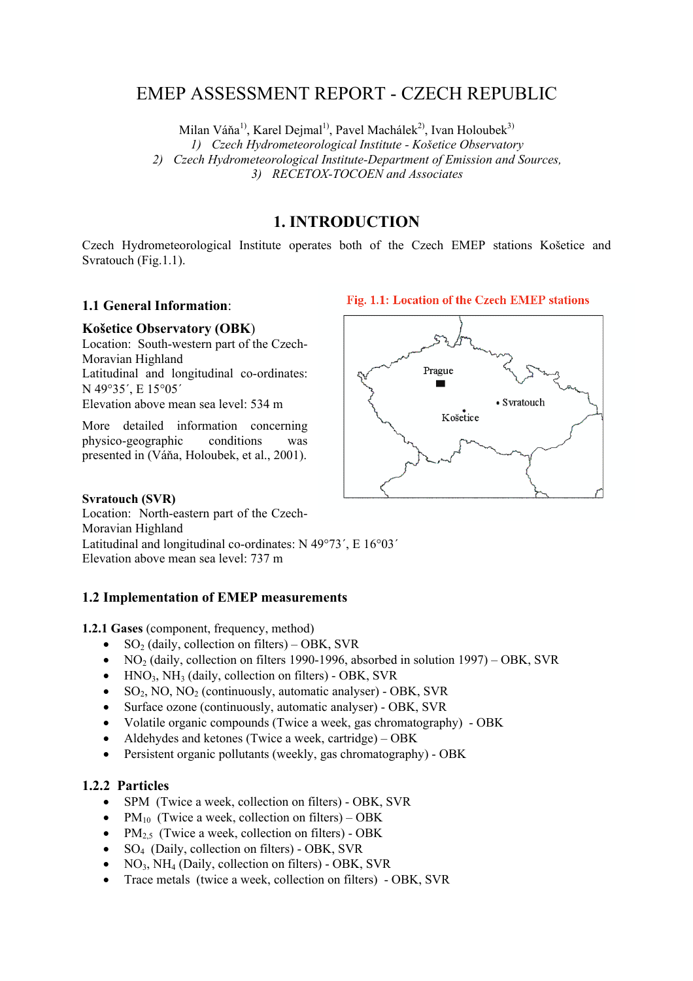# EMEP ASSESSMENT REPORT - CZECH REPUBLIC

Milan Váňa<sup>1)</sup>, Karel Dejmal<sup>1)</sup>, Pavel Machálek<sup>2)</sup>, Ivan Holoubek<sup>3)</sup> *1) Czech Hydrometeorological Institute - Košetice Observatory 2) Czech Hydrometeorological Institute-Department of Emission and Sources, 3) RECETOX-TOCOEN and Associates* 

# **1. INTRODUCTION**

Czech Hydrometeorological Institute operates both of the Czech EMEP stations Košetice and Svratouch (Fig.1.1).

## **1.1 General Information**:

#### **Košetice Observatory (OBK**)

Location: South-western part of the Czech-Moravian Highland Latitudinal and longitudinal co-ordinates: N 49°35´, E 15°05´ Elevation above mean sea level: 534 m

More detailed information concerning physico-geographic conditions was presented in (Váňa, Holoubek, et al., 2001).

#### Fig. 1.1: Location of the Czech EMEP stations



#### **Svratouch (SVR)**

Location: North-eastern part of the Czech-Moravian Highland Latitudinal and longitudinal co-ordinates: N 49°73´, E 16°03´ Elevation above mean sea level: 737 m

## **1.2 Implementation of EMEP measurements**

**1.2.1 Gases** (component, frequency, method)

- $SO<sub>2</sub>$  (daily, collection on filters) OBK, SVR
- NO<sub>2</sub> (daily, collection on filters 1990-1996, absorbed in solution 1997) OBK, SVR
- HNO<sub>3</sub>, NH<sub>3</sub> (daily, collection on filters) OBK, SVR
- $SO_2$ , NO, NO<sub>2</sub> (continuously, automatic analyser) OBK, SVR
- Surface ozone (continuously, automatic analyser) OBK, SVR
- Volatile organic compounds (Twice a week, gas chromatography) OBK
- Aldehydes and ketones (Twice a week, cartridge) OBK
- Persistent organic pollutants (weekly, gas chromatography) OBK

## **1.2.2 Particles**

- SPM (Twice a week, collection on filters) OBK, SVR
- PM<sub>10</sub> (Twice a week, collection on filters) OBK
- PM<sub>2.5</sub> (Twice a week, collection on filters) OBK
- SO<sub>4</sub> (Daily, collection on filters) OBK, SVR
- NO<sub>3</sub>, NH<sub>4</sub> (Daily, collection on filters) OBK, SVR
- Trace metals (twice a week, collection on filters) OBK, SVR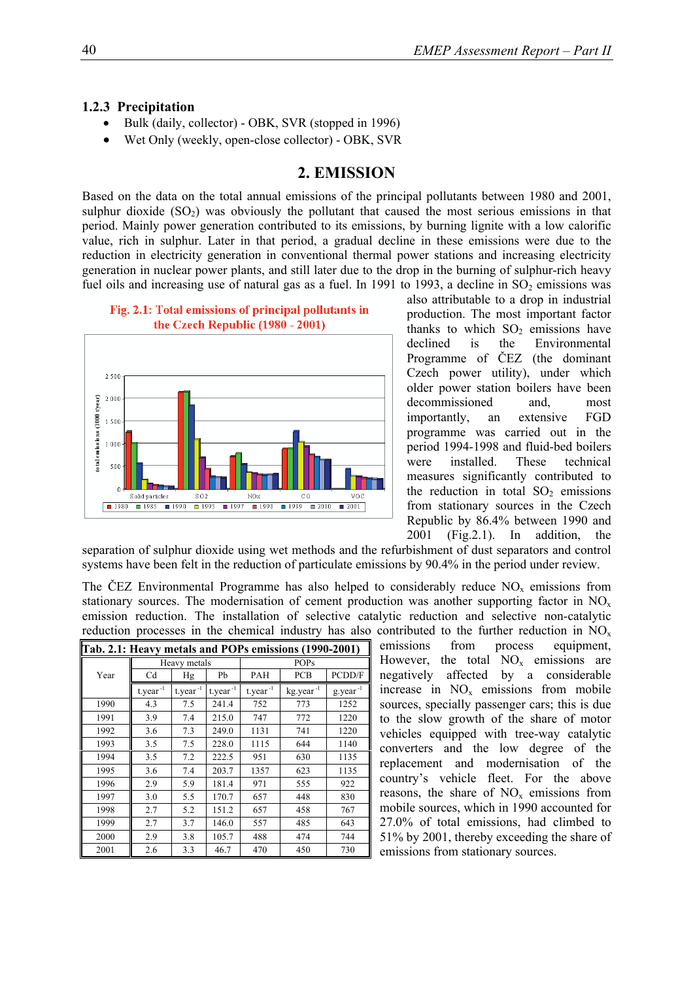#### **1.2.3 Precipitation**

- Bulk (daily, collector) OBK, SVR (stopped in 1996)
- Wet Only (weekly, open-close collector) OBK, SVR

## **2. EMISSION**

Based on the data on the total annual emissions of the principal pollutants between 1980 and 2001, sulphur dioxide  $(SO<sub>2</sub>)$  was obviously the pollutant that caused the most serious emissions in that period. Mainly power generation contributed to its emissions, by burning lignite with a low calorific value, rich in sulphur. Later in that period, a gradual decline in these emissions were due to the reduction in electricity generation in conventional thermal power stations and increasing electricity generation in nuclear power plants, and still later due to the drop in the burning of sulphur-rich heavy fuel oils and increasing use of natural gas as a fuel. In 1991 to 1993, a decline in  $SO_2$  emissions was

#### Fig. 2.1: Total emissions of principal pollutants in the Czech Republic (1980 - 2001)



also attributable to a drop in industrial production. The most important factor thanks to which  $SO<sub>2</sub>$  emissions have declined is the Environmental Programme of ČEZ (the dominant Czech power utility), under which older power station boilers have been decommissioned and, most importantly, an extensive FGD programme was carried out in the period 1994-1998 and fluid-bed boilers were installed. These technical measures significantly contributed to the reduction in total  $SO<sub>2</sub>$  emissions from stationary sources in the Czech Republic by 86.4% between 1990 and 2001 (Fig.2.1). In addition, the

separation of sulphur dioxide using wet methods and the refurbishment of dust separators and control systems have been felt in the reduction of particulate emissions by 90.4% in the period under review.

The ČEZ Environmental Programme has also helped to considerably reduce  $NO<sub>x</sub>$  emissions from stationary sources. The modernisation of cement production was another supporting factor in  $NO<sub>x</sub>$ emission reduction. The installation of selective catalytic reduction and selective non-catalytic reduction processes in the chemical industry has also contributed to the further reduction in  $NO<sub>x</sub>$ 

| Tab. 2.1: Heavy metals and POPs emissions (1990-2001) |                |               |                   |               |                       |                      |
|-------------------------------------------------------|----------------|---------------|-------------------|---------------|-----------------------|----------------------|
|                                                       | Heavy metals   |               |                   | <b>POPs</b>   |                       |                      |
| Year                                                  | C <sub>d</sub> | Hg            | Pb                | <b>PAH</b>    | <b>PCB</b>            | PCDD/F               |
|                                                       | $t.year^{-1}$  | $t.year^{-1}$ | $t.$ year $^{-1}$ | $t.year^{-1}$ | kg.year <sup>-1</sup> | g.year <sup>-1</sup> |
| 1990                                                  | 4.3            | 7.5           | 241.4             | 752           | 773                   | 1252                 |
| 1991                                                  | 3.9            | 7.4           | 215.0             | 747           | 772                   | 1220                 |
| 1992                                                  | 3.6            | 7.3           | 249.0             | 1131          | 741                   | 1220                 |
| 1993                                                  | 3.5            | 7.5           | 228.0             | 1115          | 644                   | 1140                 |
| 1994                                                  | 3.5            | 7.2           | 222.5             | 951           | 630                   | 1135                 |
| 1995                                                  | 3.6            | 7.4           | 203.7             | 1357          | 623                   | 1135                 |
| 1996                                                  | 2.9            | 5.9           | 181.4             | 971           | 555                   | 922                  |
| 1997                                                  | 3.0            | 5.5           | 170.7             | 657           | 448                   | 830                  |
| 1998                                                  | 2.7            | 5.2           | 151.2             | 657           | 458                   | 767                  |
| 1999                                                  | 2.7            | 3.7           | 146.0             | 557           | 485                   | 643                  |
| 2000                                                  | 2.9            | 3.8           | 105.7             | 488           | 474                   | 744                  |
| 2001                                                  | 2.6            | 3.3           | 46.7              | 470           | 450                   | 730                  |

emissions from process equipment, However, the total  $NO<sub>x</sub>$  emissions are negatively affected by a considerable increase in  $NO<sub>x</sub>$  emissions from mobile sources, specially passenger cars; this is due to the slow growth of the share of motor vehicles equipped with tree-way catalytic converters and the low degree of the replacement and modernisation of the country's vehicle fleet. For the above reasons, the share of  $NO<sub>x</sub>$  emissions from mobile sources, which in 1990 accounted for 27.0% of total emissions, had climbed to 51% by 2001, thereby exceeding the share of emissions from stationary sources.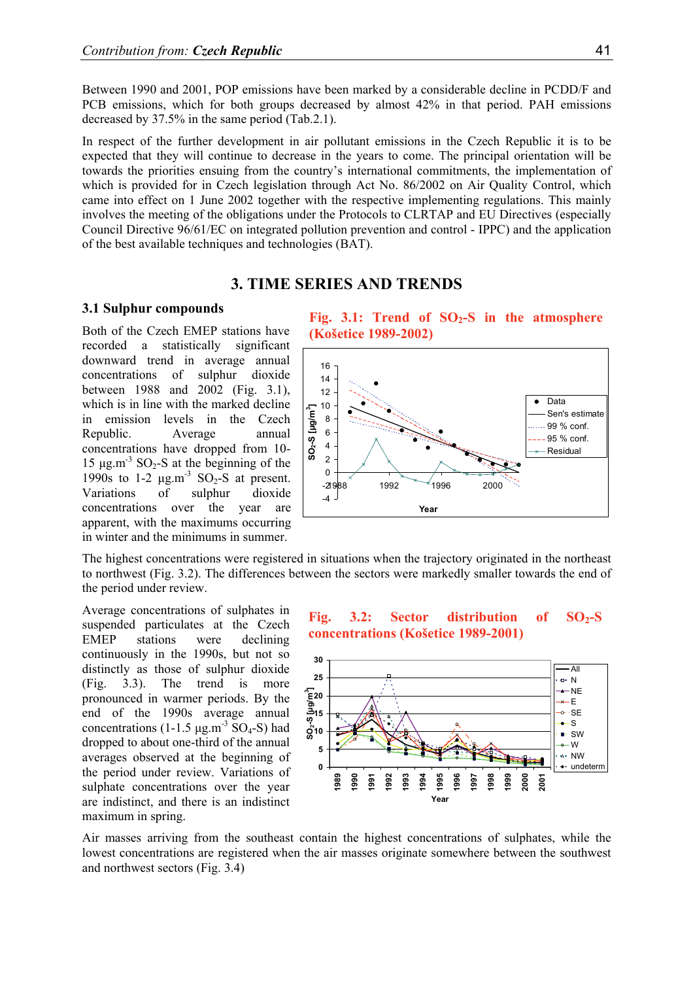Between 1990 and 2001, POP emissions have been marked by a considerable decline in PCDD/F and PCB emissions, which for both groups decreased by almost 42% in that period. PAH emissions decreased by 37.5% in the same period (Tab.2.1).

In respect of the further development in air pollutant emissions in the Czech Republic it is to be expected that they will continue to decrease in the years to come. The principal orientation will be towards the priorities ensuing from the country's international commitments, the implementation of which is provided for in Czech legislation through Act No. 86/2002 on Air Quality Control, which came into effect on 1 June 2002 together with the respective implementing regulations. This mainly involves the meeting of the obligations under the Protocols to CLRTAP and EU Directives (especially Council Directive 96/61/EC on integrated pollution prevention and control - IPPC) and the application of the best available techniques and technologies (BAT).

## **3. TIME SERIES AND TRENDS**

#### **3.1 Sulphur compounds**

Both of the Czech EMEP stations have recorded a statistically significant downward trend in average annual concentrations of sulphur dioxide between 1988 and 2002 (Fig. 3.1), which is in line with the marked decline in emission levels in the Czech Republic. Average annual concentrations have dropped from 10- 15  $\mu$ g.m<sup>-3</sup> SO<sub>2</sub>-S at the beginning of the 1990s to 1-2  $\mu$ g.m<sup>-3</sup> SO<sub>2</sub>-S at present. Variations of sulphur dioxide concentrations over the year are apparent, with the maximums occurring in winter and the minimums in summer.

Fig. 3.1: Trend of SO<sub>2</sub>-S in the atmosphere **(Košetice 1989-2002)** 



The highest concentrations were registered in situations when the trajectory originated in the northeast to northwest (Fig. 3.2). The differences between the sectors were markedly smaller towards the end of the period under review.

Average concentrations of sulphates in suspended particulates at the Czech EMEP stations were declining continuously in the 1990s, but not so distinctly as those of sulphur dioxide (Fig. 3.3). The trend is more pronounced in warmer periods. By the end of the 1990s average annual concentrations  $(1-1.5 \mu g.m^{-3} SO_4-S)$  had dropped to about one-third of the annual averages observed at the beginning of the period under review. Variations of sulphate concentrations over the year are indistinct, and there is an indistinct maximum in spring.

Fig. 3.2: Sector distribution of SO<sub>2</sub>-S **concentrations (Košetice 1989-2001)** 



Air masses arriving from the southeast contain the highest concentrations of sulphates, while the lowest concentrations are registered when the air masses originate somewhere between the southwest and northwest sectors (Fig. 3.4)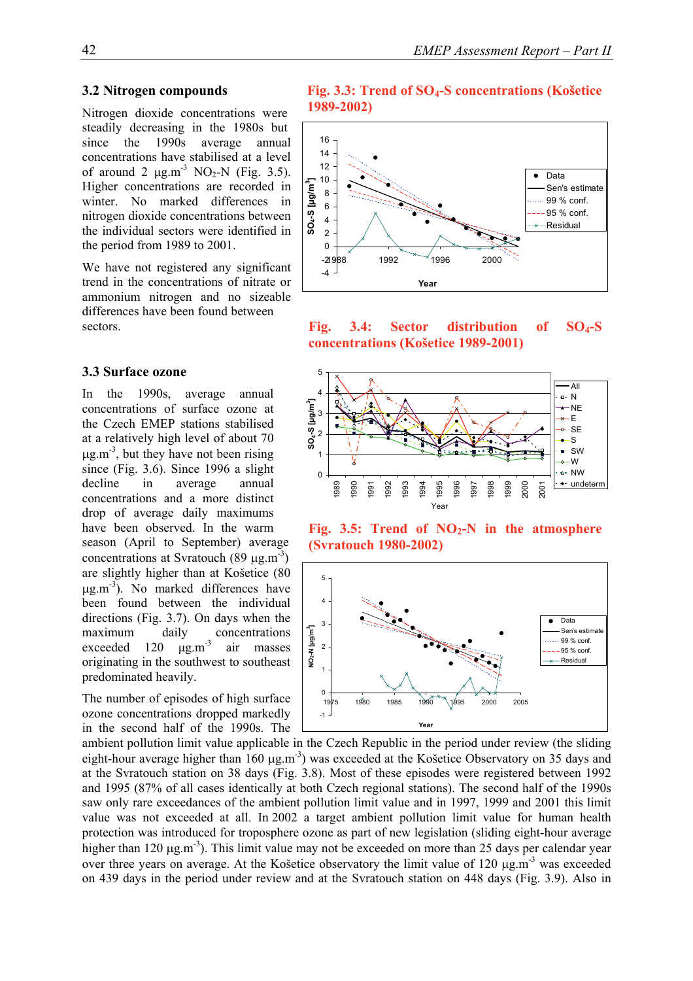#### **3.2 Nitrogen compounds**

Nitrogen dioxide concentrations were steadily decreasing in the 1980s but since the 1990s average annual concentrations have stabilised at a level of around 2  $\mu$ g.m<sup>-3</sup> NO<sub>2</sub>-N (Fig. 3.5). Higher concentrations are recorded in winter. No marked differences in nitrogen dioxide concentrations between the individual sectors were identified in the period from 1989 to 2001.

We have not registered any significant trend in the concentrations of nitrate or ammonium nitrogen and no sizeable differences have been found between sectors.

#### **3.3 Surface ozone**

In the 1990s, average annual concentrations of surface ozone at the Czech EMEP stations stabilised at a relatively high level of about 70  $\mu$ g.m<sup>-3</sup>, but they have not been rising since (Fig. 3.6). Since 1996 a slight decline in average annual concentrations and a more distinct drop of average daily maximums have been observed. In the warm season (April to September) average concentrations at Svratouch  $(89 \mu g.m^{-3})$ are slightly higher than at Košetice (80  $\mu$ g.m<sup>-3</sup>). No marked differences have been found between the individual directions (Fig. 3.7). On days when the maximum daily concentrations exceeded  $120 \text{ }\mu\text{g.m}^3$  air masses originating in the southwest to southeast predominated heavily.

The number of episodes of high surface ozone concentrations dropped markedly in the second half of the 1990s. The

#### **Fig. 3.3: Trend of SO4-S concentrations (Košetice 1989-2002)**



**Fig. 3.4: Sector distribution of SO4-S concentrations (Košetice 1989-2001)** 



Fig. 3.5: Trend of NO<sub>2</sub>-N in the atmosphere **(Svratouch 1980-2002)** 



ambient pollution limit value applicable in the Czech Republic in the period under review (the sliding eight-hour average higher than 160  $\mu$ g.m<sup>-3</sup>) was exceeded at the Košetice Observatory on 35 days and at the Svratouch station on 38 days (Fig. 3.8). Most of these episodes were registered between 1992 and 1995 (87% of all cases identically at both Czech regional stations). The second half of the 1990s saw only rare exceedances of the ambient pollution limit value and in 1997, 1999 and 2001 this limit value was not exceeded at all. In 2002 a target ambient pollution limit value for human health protection was introduced for troposphere ozone as part of new legislation (sliding eight-hour average higher than 120  $\mu$ g.m<sup>-3</sup>). This limit value may not be exceeded on more than 25 days per calendar year over three years on average. At the Košetice observatory the limit value of 120 ug.m<sup>-3</sup> was exceeded on 439 days in the period under review and at the Svratouch station on 448 days (Fig. 3.9). Also in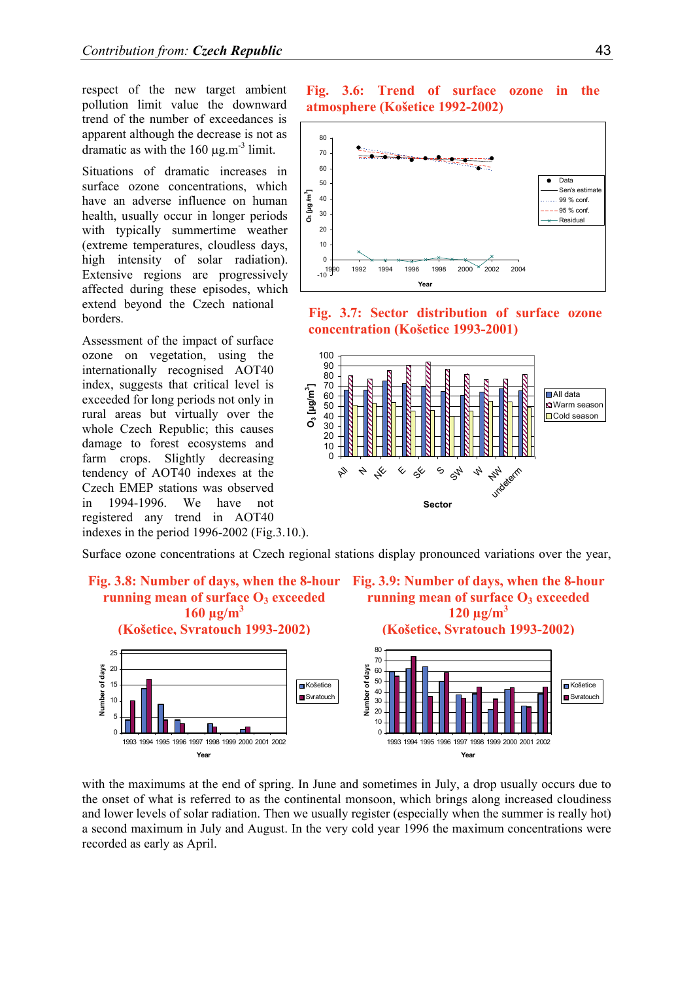respect of the new target ambient pollution limit value the downward trend of the number of exceedances is apparent although the decrease is not as dramatic as with the  $160 \mu g.m^{-3}$  limit.

Situations of dramatic increases in surface ozone concentrations, which have an adverse influence on human health, usually occur in longer periods with typically summertime weather (extreme temperatures, cloudless days, high intensity of solar radiation). Extensive regions are progressively affected during these episodes, which extend beyond the Czech national borders.

Assessment of the impact of surface ozone on vegetation, using the internationally recognised AOT40 index, suggests that critical level is exceeded for long periods not only in rural areas but virtually over the whole Czech Republic; this causes damage to forest ecosystems and farm crops. Slightly decreasing tendency of AOT40 indexes at the Czech EMEP stations was observed in 1994-1996. We have not registered any trend in AOT40 indexes in the period 1996-2002 (Fig.3.10.).

**Fig. 3.6: Trend of surface ozone in the atmosphere (Košetice 1992-2002)** 



**Fig. 3.7: Sector distribution of surface ozone concentration (Košetice 1993-2001)** 



Surface ozone concentrations at Czech regional stations display pronounced variations over the year,



with the maximums at the end of spring. In June and sometimes in July, a drop usually occurs due to the onset of what is referred to as the continental monsoon, which brings along increased cloudiness and lower levels of solar radiation. Then we usually register (especially when the summer is really hot) a second maximum in July and August. In the very cold year 1996 the maximum concentrations were recorded as early as April.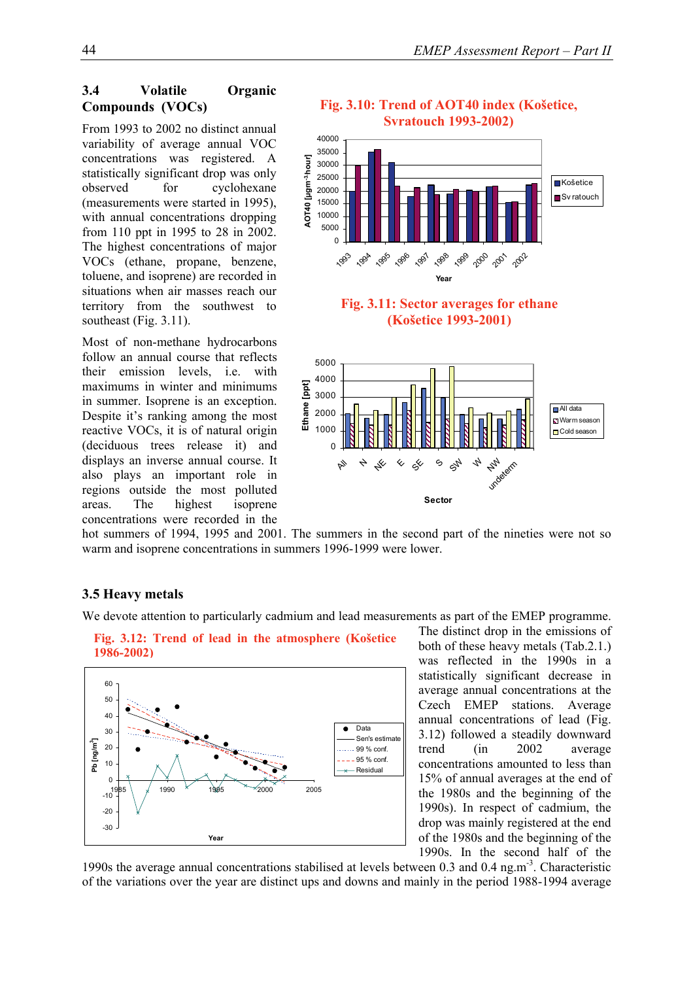## **3.4 Volatile Organic Compounds (VOCs)**

From 1993 to 2002 no distinct annual variability of average annual VOC concentrations was registered. A statistically significant drop was only observed for cyclohexane (measurements were started in 1995), with annual concentrations dropping from 110 ppt in 1995 to 28 in 2002. The highest concentrations of major VOCs (ethane, propane, benzene, toluene, and isoprene) are recorded in situations when air masses reach our territory from the southwest to southeast (Fig. 3.11).

Most of non-methane hydrocarbons follow an annual course that reflects their emission levels, i.e. with maximums in winter and minimums in summer. Isoprene is an exception. Despite it's ranking among the most reactive VOCs, it is of natural origin (deciduous trees release it) and displays an inverse annual course. It also plays an important role in regions outside the most polluted areas. The highest isoprene concentrations were recorded in the

## **Fig. 3.10: Trend of AOT40 index (Košetice, Svratouch 1993-2002)**



**Sector**

hot summers of 1994, 1995 and 2001. The summers in the second part of the nineties were not so warm and isoprene concentrations in summers 1996-1999 were lower.

## **3.5 Heavy metals**

We devote attention to particularly cadmium and lead measurements as part of the EMEP programme.





The distinct drop in the emissions of both of these heavy metals (Tab.2.1.) was reflected in the 1990s in a statistically significant decrease in average annual concentrations at the Czech EMEP stations. Average annual concentrations of lead (Fig. 3.12) followed a steadily downward trend (in 2002 average concentrations amounted to less than 15% of annual averages at the end of the 1980s and the beginning of the 1990s). In respect of cadmium, the drop was mainly registered at the end of the 1980s and the beginning of the 1990s. In the second half of the

1990s the average annual concentrations stabilised at levels between 0.3 and 0.4 ng.m-3. Characteristic of the variations over the year are distinct ups and downs and mainly in the period 1988-1994 average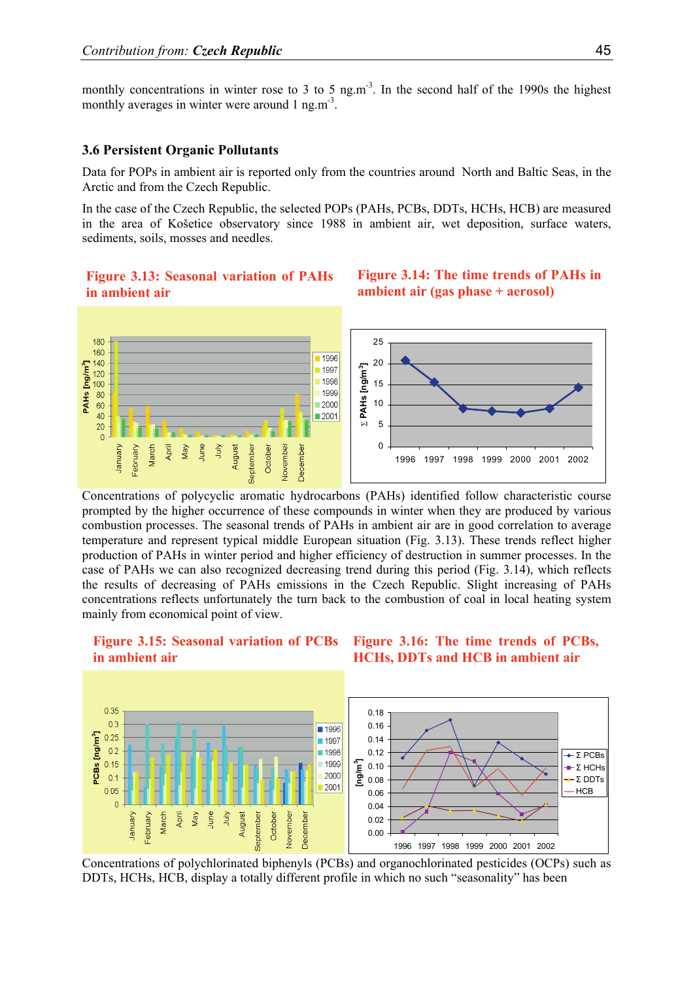monthly concentrations in winter rose to 3 to 5 ng.m<sup>-3</sup>. In the second half of the 1990s the highest monthly averages in winter were around 1 ng.m<sup>-3</sup>.

#### **3.6 Persistent Organic Pollutants**

Data for POPs in ambient air is reported only from the countries around North and Baltic Seas, in the Arctic and from the Czech Republic.

In the case of the Czech Republic, the selected POPs (PAHs, PCBs, DDTs, HCHs, HCB) are measured in the area of Košetice observatory since 1988 in ambient air, wet deposition, surface waters, sediments, soils, mosses and needles.

#### **Figure 3.13: Seasonal variation of PAHs in ambient air**

## **Figure 3.14: The time trends of PAHs in ambient air (gas phase + aerosol)**



Concentrations of polycyclic aromatic hydrocarbons (PAHs) identified follow characteristic course prompted by the higher occurrence of these compounds in winter when they are produced by various combustion processes. The seasonal trends of PAHs in ambient air are in good correlation to average temperature and represent typical middle European situation (Fig. 3.13). These trends reflect higher production of PAHs in winter period and higher efficiency of destruction in summer processes. In the case of PAHs we can also recognized decreasing trend during this period (Fig. 3.14), which reflects the results of decreasing of PAHs emissions in the Czech Republic. Slight increasing of PAHs concentrations reflects unfortunately the turn back to the combustion of coal in local heating system mainly from economical point of view.

## **Figure 3.15: Seasonal variation of PCBs in ambient air**





Concentrations of polychlorinated biphenyls (PCBs) and organochlorinated pesticides (OCPs) such as DDTs, HCHs, HCB, display a totally different profile in which no such "seasonality" has been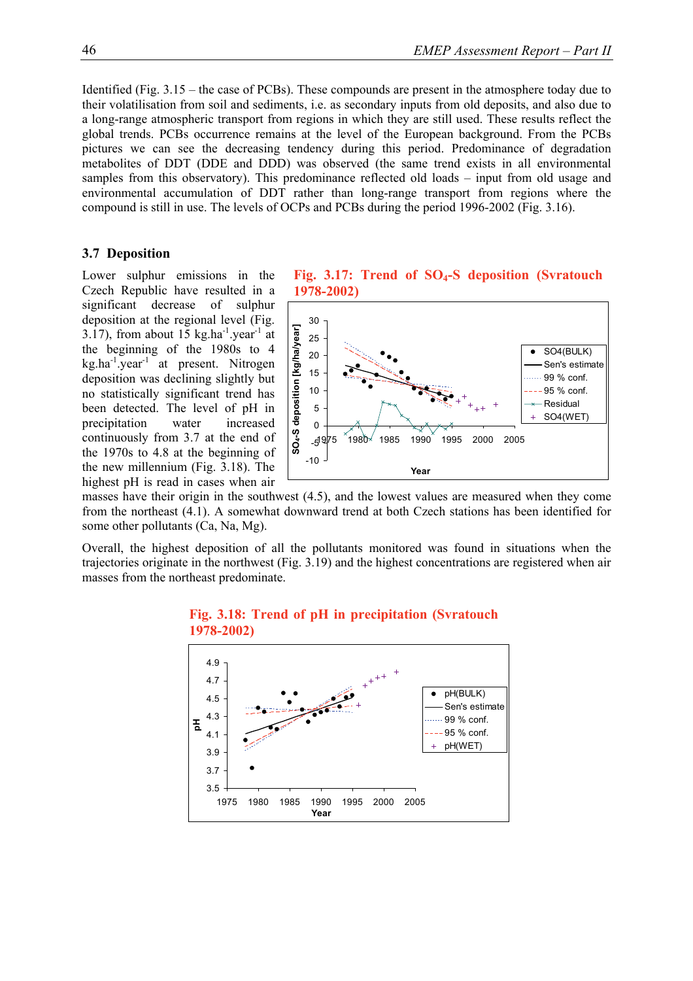Identified (Fig. 3.15 – the case of PCBs). These compounds are present in the atmosphere today due to their volatilisation from soil and sediments, i.e. as secondary inputs from old deposits, and also due to a long-range atmospheric transport from regions in which they are still used. These results reflect the global trends. PCBs occurrence remains at the level of the European background. From the PCBs pictures we can see the decreasing tendency during this period. Predominance of degradation metabolites of DDT (DDE and DDD) was observed (the same trend exists in all environmental samples from this observatory). This predominance reflected old loads – input from old usage and environmental accumulation of DDT rather than long-range transport from regions where the compound is still in use. The levels of OCPs and PCBs during the period 1996-2002 (Fig. 3.16).

#### **3.7 Deposition**

Lower sulphur emissions in the Czech Republic have resulted in a significant decrease of sulphur deposition at the regional level (Fig. 3.17), from about 15 kg.ha<sup>-1</sup>.year<sup>-1</sup> at the beginning of the 1980s to 4  $kg<sub>1</sub>ha<sup>-1</sup>.\nvert$  at present. Nitrogen deposition was declining slightly but no statistically significant trend has been detected. The level of pH in precipitation water increased continuously from 3.7 at the end of the 1970s to 4.8 at the beginning of the new millennium (Fig. 3.18). The highest pH is read in cases when air

**Fig. 3.17: Trend of SO4-S deposition (Svratouch 1978-2002)** 



masses have their origin in the southwest (4.5), and the lowest values are measured when they come from the northeast (4.1). A somewhat downward trend at both Czech stations has been identified for some other pollutants (Ca, Na, Mg).

Overall, the highest deposition of all the pollutants monitored was found in situations when the trajectories originate in the northwest (Fig. 3.19) and the highest concentrations are registered when air masses from the northeast predominate.



## **Fig. 3.18: Trend of pH in precipitation (Svratouch 1978-2002)**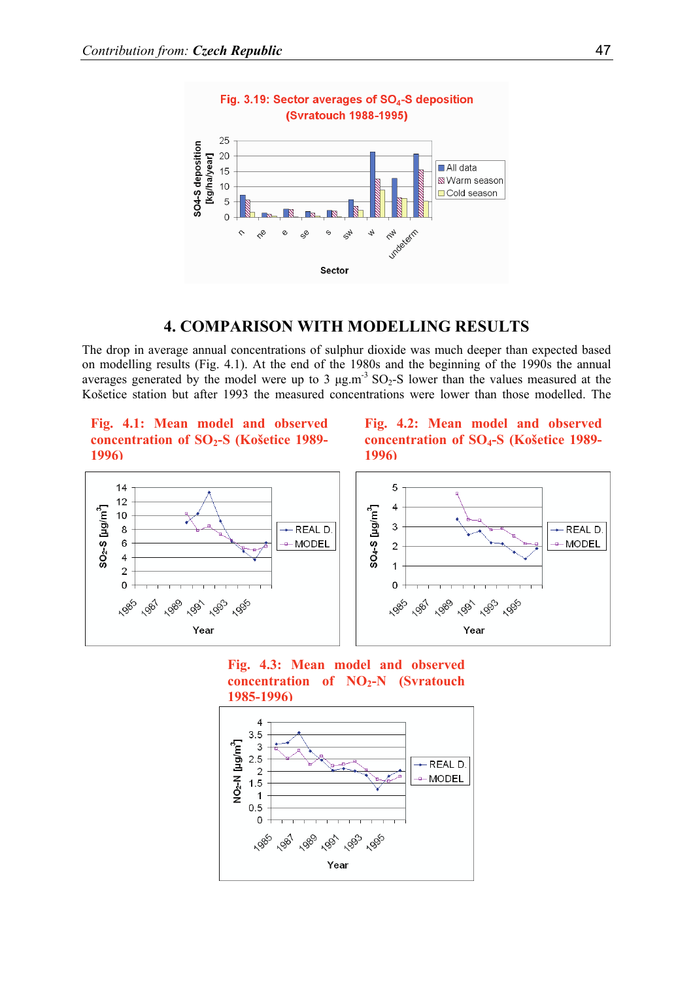

# Fig. 3.19: Sector averages of  $SO<sub>4</sub>$ -S deposition **(Svratouch 1988-1995)**

# **4. COMPARISON WITH MODELLING RESULTS**

The drop in average annual concentrations of sulphur dioxide was much deeper than expected based on modelling results (Fig. 4.1). At the end of the 1980s and the beginning of the 1990s the annual averages generated by the model were up to  $3 \mu g.m^{-3} SO_2-S$  lower than the values measured at the Košetice station but after 1993 the measured concentrations were lower than those modelled. The

**Fig. 4.1: Mean model and observed concentration of SO2-S (Košetice 1989- 1996)**

**Fig. 4.2: Mean model and observed concentration of SO4-S (Košetice 1989- 1996)**



**Fig. 4.3: Mean model and observed concentration of NO2-N (Svratouch 1985-1996)**